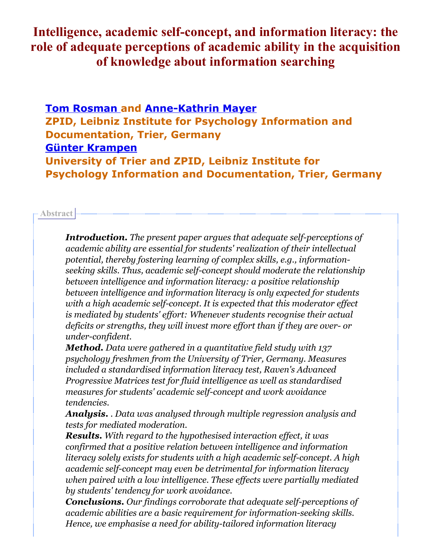# Intelligence, academic self-concept, and information literacy: the role of adequate perceptions of academic ability in the acquisition of knowledge about information searching

#### **Tom [Rosman](http://www.informationr.net/ir/20-1/isic2/isic34.html#author) and Anne-Kathrin Mayer**

ZPID, Leibniz Institute for Psychology Information and Documentation, Trier, Germany Günter [Krampen](http://www.informationr.net/ir/20-1/isic2/isic34.html#author)

University of Trier and ZPID, Leibniz Institute for Psychology Information and Documentation, Trier, Germany

#### Abstract

**Introduction.** The present paper argues that adequate self-perceptions of academic ability are essential for students' realization of their intellectual potential, thereby fostering learning of complex skills, e.g., informationseeking skills. Thus, academic self-concept should moderate the relationship between intelligence and information literacy: a positive relationship between intelligence and information literacy is only expected for students with a high academic self-concept. It is expected that this moderator effect is mediated by students' effort: Whenever students recognise their actual deficits or strengths, they will invest more effort than if they are over- or under-confident.

Method. Data were gathered in a quantitative field study with 137 psychology freshmen from the University of Trier, Germany. Measures included a standardised information literacy test, Raven's Advanced Progressive Matrices test for fluid intelligence as well as standardised measures for students' academic self-concept and work avoidance tendencies.

Analysis. . Data was analysed through multiple regression analysis and tests for mediated moderation.

**Results.** With regard to the hypothesised interaction effect, it was confirmed that a positive relation between intelligence and information literacy solely exists for students with a high academic self-concept. A high academic self-concept may even be detrimental for information literacy when paired with a low intelligence. These effects were partially mediated by students' tendency for work avoidance.

**Conclusions.** Our findings corroborate that adequate self-perceptions of academic abilities are a basic requirement for information-seeking skills. Hence, we emphasise a need for ability-tailored information literacy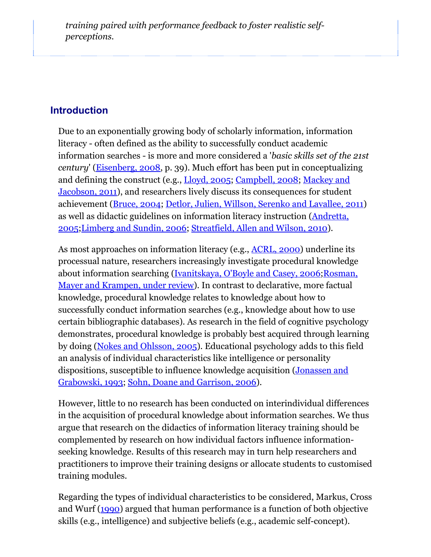## **Introduction**

Due to an exponentially growing body of scholarly information, information literacy - often defined as the ability to successfully conduct academic information searches - is more and more considered a 'basic skills set of the 21st century' [\(Eisenberg, 2008,](http://www.informationr.net/ir/20-1/isic2/isic34.html#Eis08) p. 39). Much effort has been put in conceptualizing and defining the construct (e.g., [Lloyd, 2005;](http://www.informationr.net/ir/20-1/isic2/isic34.html#Llo05) [Campbell, 2008;](http://www.informationr.net/ir/20-1/isic2/isic34.html#Cam08) Mackey and [Jacobson, 2011\), and researchers lively discuss its consequences for student](http://www.informationr.net/ir/20-1/isic2/isic34.html#Mac11) achievement [\(Bruce, 2004;](http://www.informationr.net/ir/20-1/isic2/isic34.html#Bru04) [Detlor, Julien, Willson, Serenko and Lavallee, 2011\)](http://www.informationr.net/ir/20-1/isic2/isic34.html#Det11) [as well as didactic guidelines on information literacy instruction \(Andretta,](http://www.informationr.net/ir/20-1/isic2/isic34.html#And05) 2005[;Limberg and Sundin, 2006](http://www.informationr.net/ir/20-1/isic2/isic34.html#Lim06); [Streatfield, Allen and Wilson, 2010\)](http://www.informationr.net/ir/20-1/isic2/isic34.html#Str10).

As most approaches on information literacy (e.g., **ACRL**, **2000**) underline its processual nature, researchers increasingly investigate procedural knowledge [about information searching \(](http://www.informationr.net/ir/20-1/isic2/isic34.html#Ros0)[Ivanitskaya, O'Boyle and Casey, 2006](http://www.informationr.net/ir/20-1/isic2/isic34.html#Iva06)[;Rosman,](http://www.informationr.net/ir/20-1/isic2/isic34.html#Ros0) Mayer and Krampen, under review). In contrast to declarative, more factual knowledge, procedural knowledge relates to knowledge about how to successfully conduct information searches (e.g., knowledge about how to use certain bibliographic databases). As research in the field of cognitive psychology demonstrates, procedural knowledge is probably best acquired through learning by doing ([Nokes and Ohlsson, 2005\)](http://www.informationr.net/ir/20-1/isic2/isic34.html#Nok05). Educational psychology adds to this field an analysis of individual characteristics like intelligence or personality [dispositions, susceptible to influence knowledge acquisition \(Jonassen and](http://www.informationr.net/ir/20-1/isic2/isic34.html#Jon93) Grabowski, 1993; [Sohn, Doane and Garrison, 2006\)](http://www.informationr.net/ir/20-1/isic2/isic34.html#Soh06).

However, little to no research has been conducted on interindividual differences in the acquisition of procedural knowledge about information searches. We thus argue that research on the didactics of information literacy training should be complemented by research on how individual factors influence informationseeking knowledge. Results of this research may in turn help researchers and practitioners to improve their training designs or allocate students to customised training modules.

Regarding the types of individual characteristics to be considered, Markus, Cross and Wurf ([1990\)](http://www.informationr.net/ir/20-1/isic2/isic34.html#Mar90) argued that human performance is a function of both objective skills (e.g., intelligence) and subjective beliefs (e.g., academic self-concept).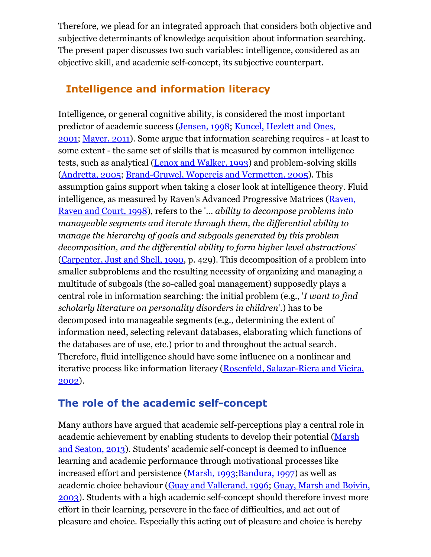Therefore, we plead for an integrated approach that considers both objective and subjective determinants of knowledge acquisition about information searching. The present paper discusses two such variables: intelligence, considered as an objective skill, and academic self-concept, its subjective counterpart.

## Intelligence and information literacy

Intelligence, or general cognitive ability, is considered the most important predictor of academic success [\(Jensen,](http://www.informationr.net/ir/20-1/isic2/isic34.html#Jen98) 1998; Kuncel, Hezlett and Ones, 2001; [Mayer,](http://www.informationr.net/ir/20-1/isic2/isic34.html#May11) 2011). Some argue that [information](http://www.informationr.net/ir/20-1/isic2/isic34.html#Kun01) searching requires - at least to some extent - the same set of skills that is measured by common intelligence tests, such as analytical (Lenox and [Walker,](http://www.informationr.net/ir/20-1/isic2/isic34.html#Len93) 1993) and problem-solving skills [\(Andretta,](http://www.informationr.net/ir/20-1/isic2/isic34.html#And05) 2005; Brand-Gruwel, Wopereis and Vermetten, 2005). This assumption gains support when taking a closer look at intelligence theory. Fluid [intelligence,](http://www.informationr.net/ir/20-1/isic2/isic34.html#Rav98) as measured by Raven's Advanced Progressive Matrices (Raven, Raven and Court, 1998), refers to the '… ability to decompose problems into manageable segments and iterate through them, the differential ability to manage the hierarchy of goals and subgoals generated by this problem decomposition, and the differential ability to form higher level abstractions' [\(Carpenter,](http://www.informationr.net/ir/20-1/isic2/isic34.html#Car90) Just and Shell, 1990, p. 429). This decomposition of a problem into smaller subproblems and the resulting necessity of organizing and managing a multitude of subgoals (the so-called goal management) supposedly plays a central role in information searching: the initial problem (e.g., 'I want to find scholarly literature on personality disorders in children'.) has to be decomposed into manageable segments (e.g., determining the extent of information need, selecting relevant databases, elaborating which functions of the databases are of use, etc.) prior to and throughout the actual search. Therefore, fluid intelligence should have some influence on a nonlinear and iterative process like information literacy (Rosenfeld, Salazar-Riera and Vieira, 2002).

## The role of the academic self-concept

Many authors have argued that academic self-perceptions play a central role in academic [achievement](http://www.informationr.net/ir/20-1/isic2/isic34.html#Mar13) by enabling students to develop their potential (Marsh and Seaton, 2013). Students' academic self-concept is deemed to influence learning and academic performance through motivational processes like increased effort and persistence [\(Marsh,](http://www.informationr.net/ir/20-1/isic2/isic34.html#Mar93) 1993; Bandura, 1997) as well as academic choice behaviour (Guay and [Vallerand,](http://www.informationr.net/ir/20-1/isic2/isic34.html#Gua96) 1996; Guay, Marsh and Boivin, 2003). Students with a high academic self-concept should therefore invest more effort in their learning, persevere in the face of difficulties, and act out of pleasure and choice. Especially this acting out of pleasure and choice is hereby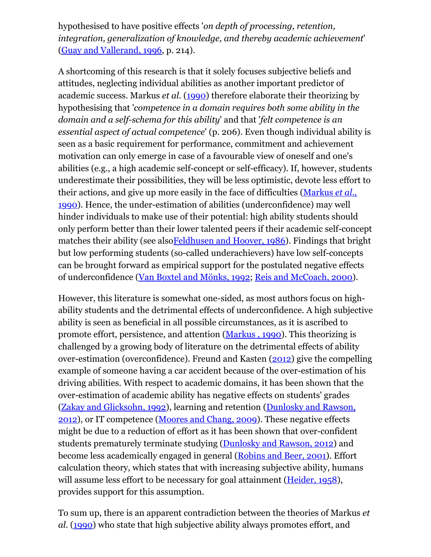hypothesised to have positive effects 'on depth of processing, retention, integration, generalization of knowledge, and thereby academic achievement' (Guay and [Vallerand,](http://www.informationr.net/ir/20-1/isic2/isic34.html#Gua96) 1996, p. 214).

A shortcoming of this research is that it solely focuses subjective beliefs and attitudes, neglecting individual abilities as another important predictor of academic success. Markus *et al.* [\(1990\)](http://www.informationr.net/ir/20-1/isic2/isic34.html#Mar90) therefore elaborate their theorizing by hypothesising that 'competence in a domain requires both some ability in the domain and a self-schema for this ability' and that 'felt competence is an essential aspect of actual competence' (p. 206). Even though individual ability is seen as a basic requirement for performance, commitment and achievement motivation can only emerge in case of a favourable view of oneself and one's abilities (e.g., a high academic self-concept or self-efficacy). If, however, students underestimate their possibilities, they will be less optimistic, devote less effort to their actions, and give up more easily in the face of difficulties (Markus et al., 1990). Hence, the under-estimation of abilities [\(underconfidence\)](http://www.informationr.net/ir/20-1/isic2/isic34.html#Mar90) may well hinder individuals to make use of their potential: high ability students should only perform better than their lower talented peers if their academic self-concept matches their ability (see als[oFeldhusen](http://www.informationr.net/ir/20-1/isic2/isic34.html#Fel86) and Hoover, 1986). Findings that bright but low performing students (so-called underachievers) have low self-concepts can be brought forward as empirical support for the postulated negative effects of underconfidence (Van Boxtel and [Mönks,](http://www.informationr.net/ir/20-1/isic2/isic34.html#Van92) 1992; Reis and [McCoach,](http://www.informationr.net/ir/20-1/isic2/isic34.html#Rei00) 2000).

However, this literature is somewhat one-sided, as most authors focus on highability students and the detrimental effects of underconfidence. A high subjective ability is seen as beneficial in all possible circumstances, as it is ascribed to promote effort, persistence, and attention [\(Markus](http://www.informationr.net/ir/20-1/isic2/isic34.html#Mar90) , 1990). This theorizing is challenged by a growing body of literature on the detrimental effects of ability over-estimation (overconfidence). Freund and Kasten [\(2012\)](http://www.informationr.net/ir/20-1/isic2/isic34.html#Fre12) give the compelling example of someone having a car accident because of the over-estimation of his driving abilities. With respect to academic domains, it has been shown that the over-estimation of academic ability has negative effects on students' grades (Zakay and [Glicksohn,](http://www.informationr.net/ir/20-1/isic2/isic34.html#Zak92) 1992), learning and retention (Dunlosky and Rawson, 2012), or IT [competence](http://www.informationr.net/ir/20-1/isic2/isic34.html#Dun12) [\(Moores](http://www.informationr.net/ir/20-1/isic2/isic34.html#Moo09) and Chang, 2009). These negative effects might be due to a reduction of effort as it has been shown that over-confident students prematurely terminate studying [\(Dunlosky](http://www.informationr.net/ir/20-1/isic2/isic34.html#Dun12) and Rawson, 2012) and become less academically engaged in general [\(Robins](http://www.informationr.net/ir/20-1/isic2/isic34.html#Rob01) and Beer, 2001). Effort calculation theory, which states that with increasing subjective ability, humans will assume less effort to be necessary for goal attainment [\(Heider,](http://www.informationr.net/ir/20-1/isic2/isic34.html#Hei58) 1958), provides support for this assumption.

To sum up, there is an apparent contradiction between the theories of Markus et al. [\(1990\)](http://www.informationr.net/ir/20-1/isic2/isic34.html#Mar90) who state that high subjective ability always promotes effort, and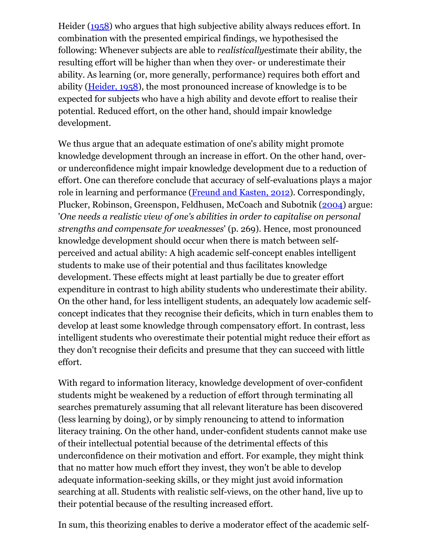Heider [\(1958\)](http://www.informationr.net/ir/20-1/isic2/isic34.html#Hei58) who argues that high subjective ability always reduces effort. In combination with the presented empirical findings, we hypothesised the following: Whenever subjects are able to realisticallyestimate their ability, the resulting effort will be higher than when they over- or underestimate their ability. As learning (or, more generally, performance) requires both effort and ability [\(Heider,](http://www.informationr.net/ir/20-1/isic2/isic34.html#Hei58) 1958), the most pronounced increase of knowledge is to be expected for subjects who have a high ability and devote effort to realise their potential. Reduced effort, on the other hand, should impair knowledge development.

We thus argue that an adequate estimation of one's ability might promote knowledge development through an increase in effort. On the other hand, overor underconfidence might impair knowledge development due to a reduction of effort. One can therefore conclude that accuracy of self-evaluations plays a major role in learning and performance (Freund and [Kasten,](http://www.informationr.net/ir/20-1/isic2/isic34.html#Fre12) 2012). Correspondingly, Plucker, Robinson, Greenspon, Feldhusen, McCoach and Subotnik [\(2004\)](http://www.informationr.net/ir/20-1/isic2/isic34.html#Plu04) argue: 'One needs a realistic view of one's abilities in order to capitalise on personal strengths and compensate for weaknesses' (p. 269). Hence, most pronounced knowledge development should occur when there is match between selfperceived and actual ability: A high academic self-concept enables intelligent students to make use of their potential and thus facilitates knowledge development. These effects might at least partially be due to greater effort expenditure in contrast to high ability students who underestimate their ability. On the other hand, for less intelligent students, an adequately low academic selfconcept indicates that they recognise their deficits, which in turn enables them to develop at least some knowledge through compensatory effort. In contrast, less intelligent students who overestimate their potential might reduce their effort as they don't recognise their deficits and presume that they can succeed with little effort.

With regard to information literacy, knowledge development of over-confident students might be weakened by a reduction of effort through terminating all searches prematurely assuming that all relevant literature has been discovered (less learning by doing), or by simply renouncing to attend to information literacy training. On the other hand, under-confident students cannot make use of their intellectual potential because of the detrimental effects of this underconfidence on their motivation and effort. For example, they might think that no matter how much effort they invest, they won't be able to develop adequate information-seeking skills, or they might just avoid information searching at all. Students with realistic self-views, on the other hand, live up to their potential because of the resulting increased effort.

In sum, this theorizing enables to derive a moderator effect of the academic self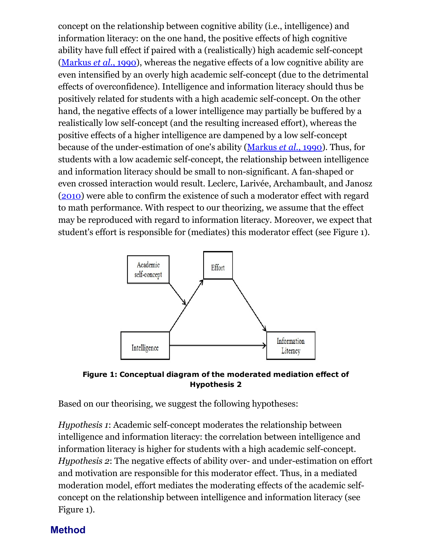concept on the relationship between cognitive ability (i.e., intelligence) and information literacy: on the one hand, the positive effects of high cognitive ability have full effect if paired with a (realistically) high academic self-concept [\(Markus](http://www.informationr.net/ir/20-1/isic2/isic34.html#Mar90) et al., 1990), whereas the negative effects of a low cognitive ability are even intensified by an overly high academic self-concept (due to the detrimental effects of overconfidence). Intelligence and information literacy should thus be positively related for students with a high academic self-concept. On the other hand, the negative effects of a lower intelligence may partially be buffered by a realistically low self-concept (and the resulting increased effort), whereas the positive effects of a higher intelligence are dampened by a low self-concept because of the under-estimation of one's ability [\(Markus](http://www.informationr.net/ir/20-1/isic2/isic34.html#Mar90) *et al.*, 1990). Thus, for students with a low academic self-concept, the relationship between intelligence and information literacy should be small to non-significant. A fan-shaped or even crossed interaction would result. Leclerc, Larivée, Archambault, and Janosz [\(2010](http://www.informationr.net/ir/20-1/isic2/isic34.html#Lec10)) were able to confirm the existence of such a moderator effect with regard to math performance. With respect to our theorizing, we assume that the effect may be reproduced with regard to information literacy. Moreover, we expect that student's effort is responsible for (mediates) this moderator effect (see Figure 1).



Figure 1: Conceptual diagram of the moderated mediation effect of Hypothesis 2

Based on our theorising, we suggest the following hypotheses:

Hypothesis 1: Academic self-concept moderates the relationship between intelligence and information literacy: the correlation between intelligence and information literacy is higher for students with a high academic self-concept. Hypothesis 2: The negative effects of ability over- and under-estimation on effort and motivation are responsible for this moderator effect. Thus, in a mediated moderation model, effort mediates the moderating effects of the academic selfconcept on the relationship between intelligence and information literacy (see Figure 1).

#### Method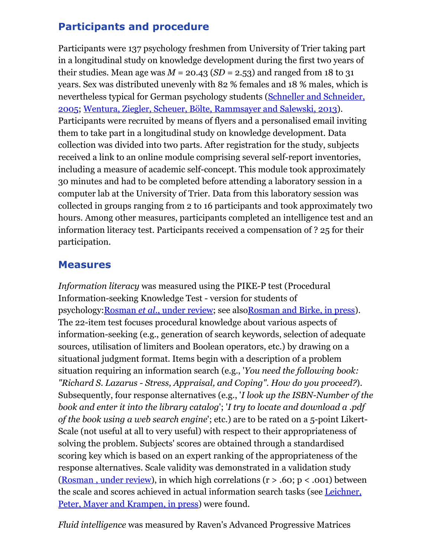# Participants and procedure

Participants were 137 psychology freshmen from University of Trier taking part in a longitudinal study on knowledge development during the first two years of their studies. Mean age was  $M = 20.43$  (SD = 2.53) and ranged from 18 to 31 years. Sex was distributed unevenly with 82 % females and 18 % males, which is [nevertheless](http://www.informationr.net/ir/20-1/isic2/isic34.html#Sch05) typical for German psychology students (Schneller and Schneider, 2005; Wentura, Ziegler, Scheuer, Bölte, [Rammsayer](http://www.informationr.net/ir/20-1/isic2/isic34.html#Wen13) and Salewski, 2013). Participants were recruited by means of flyers and a personalised email inviting them to take part in a longitudinal study on knowledge development. Data collection was divided into two parts. After registration for the study, subjects received a link to an online module comprising several self-report inventories, including a measure of academic self-concept. This module took approximately 30 minutes and had to be completed before attending a laboratory session in a computer lab at the University of Trier. Data from this laboratory session was collected in groups ranging from 2 to 16 participants and took approximately two hours. Among other measures, participants completed an intelligence test and an information literacy test. Participants received a compensation of ? 25 for their participation.

#### Measures

Information literacy was measured using the PIKE-P test (Procedural Information-seeking Knowledge Test - version for students of psychology[:Rosman](http://www.informationr.net/ir/20-1/isic2/isic34.html#Ros0) et al., under review; see als[oRosman](http://www.informationr.net/ir/20-1/isic2/isic34.html#Ros0a) and Birke, in press). The 22-item test focuses procedural knowledge about various aspects of information-seeking (e.g., generation of search keywords, selection of adequate sources, utilisation of limiters and Boolean operators, etc.) by drawing on a situational judgment format. Items begin with a description of a problem situation requiring an information search (e.g., 'You need the following book: "Richard S. Lazarus - Stress, Appraisal, and Coping". How do you proceed?). Subsequently, four response alternatives (e.g., 'I look up the ISBN-Number of the book and enter it into the library catalog'; 'I try to locate and download a .pdf of the book using a web search engine'; etc.) are to be rated on a  $5$ -point Likert-Scale (not useful at all to very useful) with respect to their appropriateness of solving the problem. Subjects' scores are obtained through a standardised scoring key which is based on an expert ranking of the appropriateness of the response alternatives. Scale validity was demonstrated in a validation study [\(Rosman](http://www.informationr.net/ir/20-1/isic2/isic34.html#Ros0a), under review), in which high correlations ( $r > .60$ ;  $p < .001$ ) between the scale and scores achieved in actual [information](http://www.informationr.net/ir/20-1/isic2/isic34.html#Lei) search tasks (see Leichner, Peter, Mayer and Krampen, in press) were found.

Fluid intelligence was measured by Raven's Advanced Progressive Matrices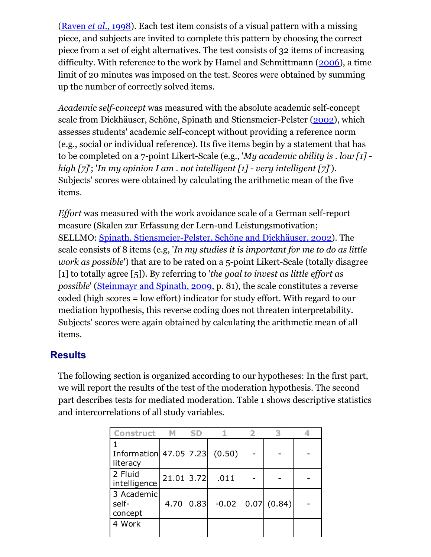[\(Raven](http://www.informationr.net/ir/20-1/isic2/isic34.html#Rav98) et al., 1998). Each test item consists of a visual pattern with a missing piece, and subjects are invited to complete this pattern by choosing the correct piece from a set of eight alternatives. The test consists of 32 items of increasing difficulty. With reference to the work by Hamel and Schmittmann [\(2006\)](http://www.informationr.net/ir/20-1/isic2/isic34.html#Ham06), a time limit of 20 minutes was imposed on the test. Scores were obtained by summing up the number of correctly solved items.

Academic self-concept was measured with the absolute academic self-concept scale from Dickhäuser, Schöne, Spinath and Stiensmeier-Pelster [\(2002\)](http://www.informationr.net/ir/20-1/isic2/isic34.html#Dic02), which assesses students' academic self-concept without providing a reference norm (e.g., social or individual reference). Its five items begin by a statement that has to be completed on a 7-point Likert-Scale (e.g., 'My academic ability is . low  $[1]$  high  $[7]'$ ; 'In my opinion I am . not intelligent  $[1]$  - very intelligent  $[7]$ '). Subjects' scores were obtained by calculating the arithmetic mean of the five items.

Effort was measured with the work avoidance scale of a German self-report measure (Skalen zur Erfassung der Lern-und Leistungsmotivation; SELLMO: Spinath, Stiensmeier-Pelster, Schöne and Dickhäuser, 2002). The scale consists of 8 items (e.g, 'In my studies it is important for me to do as little work as possible') that are to be rated on a  $5$ -point Likert-Scale (totally disagree [1] to totally agree [5]). By referring to 'the goal to invest as little effort as possible' ([Steinmayr](http://www.informationr.net/ir/20-1/isic2/isic34.html#Ste09) and Spinath, 2009, p. 81), the scale constitutes a reverse coded (high scores = low effort) indicator for study effort. With regard to our mediation hypothesis, this reverse coding does not threaten interpretability. Subjects' scores were again obtained by calculating the arithmetic mean of all items.

## **Results**

The following section is organized according to our hypotheses: In the first part, we will report the results of the test of the moderation hypothesis. The second part describes tests for mediated moderation. Table 1 shows descriptive statistics and intercorrelations of all study variables.

| <b>Construct</b>                          | -M         | <b>SD</b> |         |            |  |
|-------------------------------------------|------------|-----------|---------|------------|--|
| Information 47.05 7.23 (0.50)<br>literacy |            |           |         |            |  |
| 2 Fluid<br>intelligence                   | 21.01 3.72 |           | .011    |            |  |
| 3 Academic<br>self-<br>concept            | 4.70       | 0.83      | $-0.02$ | 0.07(0.84) |  |
| 4 Work                                    |            |           |         |            |  |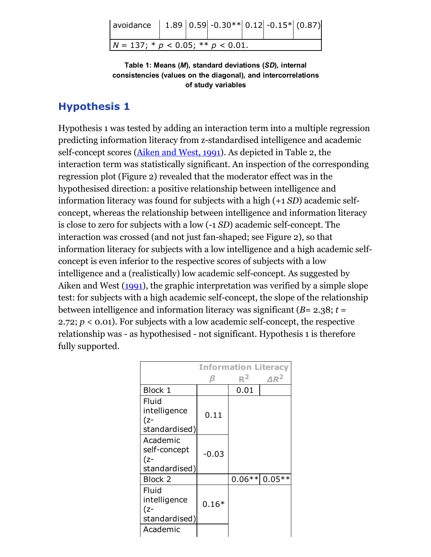| avoidance   1.89 $ 0.59 $ -0.30** $ 0.12 $ -0.15* $ $ $(0.87) $ |  |  |  |  |  |  |
|-----------------------------------------------------------------|--|--|--|--|--|--|
| $N = 137$ ; * $p < 0.05$ ; ** $p < 0.01$ .                      |  |  |  |  |  |  |

Table 1: Means (*M*), standard deviations (*SD*), internal consistencies (values on the diagonal), and intercorrelations of study variables

## Hypothesis 1

Hypothesis 1 was tested by adding an interaction term into a multiple regression predicting information literacy from z-standardised intelligence and academic self-concept scores [\(Aiken](http://www.informationr.net/ir/20-1/isic2/isic34.html#Aik91) and West, 1991). As depicted in Table 2, the interaction term was statistically significant. An inspection of the corresponding regression plot (Figure 2) revealed that the moderator effect was in the hypothesised direction: a positive relationship between intelligence and information literacy was found for subjects with a high (+1 SD) academic selfconcept, whereas the relationship between intelligence and information literacy is close to zero for subjects with a low  $(-1 SD)$  academic self-concept. The interaction was crossed (and not just fan-shaped; see Figure 2), so that information literacy for subjects with a low intelligence and a high academic selfconcept is even inferior to the respective scores of subjects with a low intelligence and a (realistically) low academic self-concept. As suggested by Aiken and West [\(1991\)](http://www.informationr.net/ir/20-1/isic2/isic34.html#Aik91), the graphic interpretation was verified by a simple slope test: for subjects with a high academic self-concept, the slope of the relationship between intelligence and information literacy was significant ( $B = 2.38$ ;  $t =$ 2.72;  $p < 0.01$ ). For subjects with a low academic self-concept, the respective relationship was - as hypothesised - not significant. Hypothesis 1 is therefore fully supported.

|                                                  | <b>Information Literacy</b> |          |              |  |
|--------------------------------------------------|-----------------------------|----------|--------------|--|
|                                                  |                             | $R^2$    | $\Delta R^2$ |  |
| Block 1                                          |                             | 0.01     |              |  |
| Fluid<br>intelligence<br>(z-<br>standardised)    | 0.11                        |          |              |  |
| Academic<br>self-concept<br>(z-<br>standardised) | $-0.03$                     |          |              |  |
| Block 2                                          |                             | $0.06**$ | $0.05**$     |  |
| Fluid<br>intelligence<br>(z-<br>standardised)    | $0.16*$                     |          |              |  |
| Academic                                         |                             |          |              |  |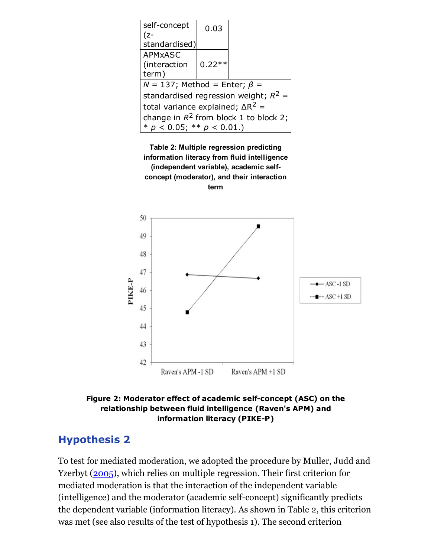| self-concept<br>(z-                      | 0.03     |  |  |  |
|------------------------------------------|----------|--|--|--|
| standardised)                            |          |  |  |  |
| APMxASC                                  |          |  |  |  |
| (interaction                             | $0.22**$ |  |  |  |
| term)                                    |          |  |  |  |
| $N = 137$ ; Method = Enter; $\beta$ =    |          |  |  |  |
| standardised regression weight; $R^2$ =  |          |  |  |  |
| total variance explained; $\Delta R^2$ = |          |  |  |  |
| change in $R^2$ from block 1 to block 2; |          |  |  |  |
| * $p < 0.05$ ; ** $p < 0.01$ .)          |          |  |  |  |

Table 2: Multiple regression predicting information literacy from fluid intelligence (independent variable), academic selfconcept (moderator), and their interaction term





### Hypothesis 2

To test for mediated moderation, we adopted the procedure by Muller, Judd and Yzerbyt [\(2005](http://www.informationr.net/ir/20-1/isic2/isic34.html#Mul05)), which relies on multiple regression. Their first criterion for mediated moderation is that the interaction of the independent variable (intelligence) and the moderator (academic self-concept) significantly predicts the dependent variable (information literacy). As shown in Table 2, this criterion was met (see also results of the test of hypothesis 1). The second criterion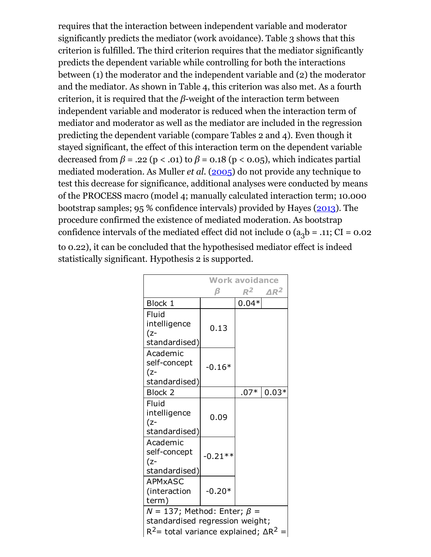requires that the interaction between independent variable and moderator significantly predicts the mediator (work avoidance). Table 3 shows that this criterion is fulfilled. The third criterion requires that the mediator significantly predicts the dependent variable while controlling for both the interactions between (1) the moderator and the independent variable and (2) the moderator and the mediator. As shown in Table 4, this criterion was also met. As a fourth criterion, it is required that the  $\beta$ -weight of the interaction term between independent variable and moderator is reduced when the interaction term of mediator and moderator as well as the mediator are included in the regression predicting the dependent variable (compare Tables 2 and 4). Even though it stayed significant, the effect of this interaction term on the dependent variable decreased from  $\beta$  = .22 (p < .01) to  $\beta$  = 0.18 (p < 0.05), which indicates partial mediated moderation. As Muller et al. ([2005\)](http://www.informationr.net/ir/20-1/isic2/isic34.html#Mul05) do not provide any technique to test this decrease for significance, additional analyses were conducted by means of the PROCESS macro (model 4; manually calculated interaction term; 10.000 bootstrap samples; 95 % confidence intervals) provided by Hayes [\(2013\)](http://www.informationr.net/ir/20-1/isic2/isic34.html#Hay13). The procedure confirmed the existence of mediated moderation. As bootstrap confidence intervals of the mediated effect did not include  $o$  ( $a_3b = .11$ ; CI = 0.02 to 0.22), it can be concluded that the hypothesised mediator effect is indeed statistically significant. Hypothesis 2 is supported.

|                                                                                                                             | <b>Work avoidance</b> |         |                    |
|-----------------------------------------------------------------------------------------------------------------------------|-----------------------|---------|--------------------|
|                                                                                                                             | β                     |         | $R^2$ $\Delta R^2$ |
| Block 1                                                                                                                     |                       | $0.04*$ |                    |
| Fluid<br>intelligence<br>(z-<br>standardised)                                                                               | 0.13                  |         |                    |
| Academic<br>self-concept<br>(z-<br>standardised)                                                                            | $-0.16*$              |         |                    |
| Block <sub>2</sub>                                                                                                          |                       | $.07*$  | $0.03*$            |
| Fluid<br>intelligence<br>(z-<br>standardised)                                                                               | 0.09                  |         |                    |
| Academic<br>self-concept<br>(z-<br>standardised)                                                                            | $-0.21**$             |         |                    |
| <b>APMxASC</b><br>(interaction<br>term)                                                                                     | $-0.20*$              |         |                    |
| $N = 137$ ; Method: Enter; $\beta =$<br>standardised regression weight;<br>$R^2$ = total variance explained; $\Delta R^2$ = |                       |         |                    |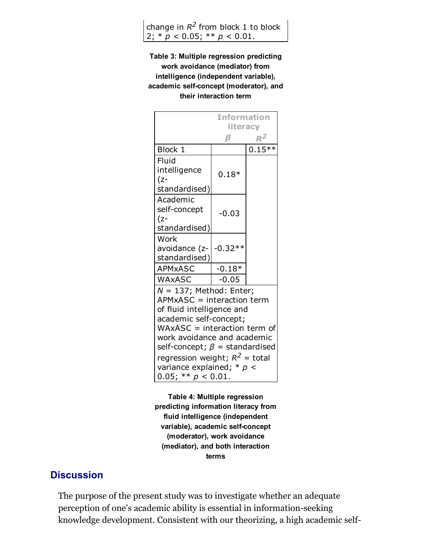#### Table 3: Multiple regression predicting work avoidance (mediator) from intelligence (independent variable), academic self-concept (moderator), and their interaction term

| <b>Information</b>                                                                                                                                                                                                                                                                                                    |           |                |  |
|-----------------------------------------------------------------------------------------------------------------------------------------------------------------------------------------------------------------------------------------------------------------------------------------------------------------------|-----------|----------------|--|
|                                                                                                                                                                                                                                                                                                                       | literacy  |                |  |
|                                                                                                                                                                                                                                                                                                                       | ß         | $\mathsf{R}^2$ |  |
| Block 1                                                                                                                                                                                                                                                                                                               |           | $0.15**$       |  |
| Fluid<br>intelligence<br>(z-                                                                                                                                                                                                                                                                                          | $0.18*$   |                |  |
| standardised)                                                                                                                                                                                                                                                                                                         |           |                |  |
| Academic<br>self-concept<br>$(z-$<br>standardised)                                                                                                                                                                                                                                                                    | $-0.03$   |                |  |
| Work                                                                                                                                                                                                                                                                                                                  |           |                |  |
| avoidance (z-<br>standardised)                                                                                                                                                                                                                                                                                        | $-0.32**$ |                |  |
| <b>APMxASC</b>                                                                                                                                                                                                                                                                                                        | $-0.18*$  |                |  |
| <b>WAxASC</b>                                                                                                                                                                                                                                                                                                         | $-0.05$   |                |  |
| $N = 137$ ; Method: Enter;<br>$APMXASC = interaction term$<br>of fluid intelligence and<br>academic self-concept;<br>$WAXASC = interaction term of$<br>work avoidance and academic<br>self-concept; $\beta$ = standardised<br>regression weight; $R^2$ = total<br>variance explained; $* p <$<br>$0.05; ** p < 0.01.$ |           |                |  |

Table 4: Multiple regression predicting information literacy from fluid intelligence (independent variable), academic self-concept (moderator), work avoidance (mediator), and both interaction terms

#### **Discussion**

The purpose of the present study was to investigate whether an adequate perception of one's academic ability is essential in information-seeking knowledge development. Consistent with our theorizing, a high academic self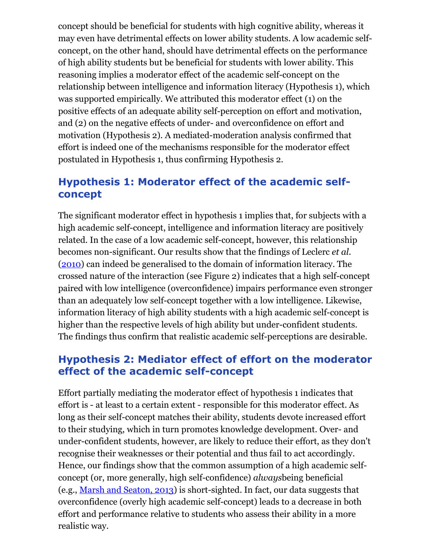concept should be beneficial for students with high cognitive ability, whereas it may even have detrimental effects on lower ability students. A low academic selfconcept, on the other hand, should have detrimental effects on the performance of high ability students but be beneficial for students with lower ability. This reasoning implies a moderator effect of the academic self-concept on the relationship between intelligence and information literacy (Hypothesis 1), which was supported empirically. We attributed this moderator effect (1) on the positive effects of an adequate ability self-perception on effort and motivation, and (2) on the negative effects of under- and overconfidence on effort and motivation (Hypothesis 2). A mediated-moderation analysis confirmed that effort is indeed one of the mechanisms responsible for the moderator effect postulated in Hypothesis 1, thus confirming Hypothesis 2.

## Hypothesis 1: Moderator effect of the academic selfconcept

The significant moderator effect in hypothesis 1 implies that, for subjects with a high academic self-concept, intelligence and information literacy are positively related. In the case of a low academic self-concept, however, this relationship becomes non-significant. Our results show that the findings of Leclerc et al. [\(2010](http://www.informationr.net/ir/20-1/isic2/isic34.html#Lec10)) can indeed be generalised to the domain of information literacy. The crossed nature of the interaction (see Figure 2) indicates that a high self-concept paired with low intelligence (overconfidence) impairs performance even stronger than an adequately low self-concept together with a low intelligence. Likewise, information literacy of high ability students with a high academic self-concept is higher than the respective levels of high ability but under-confident students. The findings thus confirm that realistic academic self-perceptions are desirable.

### Hypothesis 2: Mediator effect of effort on the moderator effect of the academic self-concept

Effort partially mediating the moderator effect of hypothesis 1 indicates that effort is - at least to a certain extent - responsible for this moderator effect. As long as their self-concept matches their ability, students devote increased effort to their studying, which in turn promotes knowledge development. Over and under-confident students, however, are likely to reduce their effort, as they don't recognise their weaknesses or their potential and thus fail to act accordingly. Hence, our findings show that the common assumption of a high academic selfconcept (or, more generally, high self-confidence) alwaysbeing beneficial (e.g., Marsh and [Seaton,](http://www.informationr.net/ir/20-1/isic2/isic34.html#Mar13) 2013) is short-sighted. In fact, our data suggests that overconfidence (overly high academic self-concept) leads to a decrease in both effort and performance relative to students who assess their ability in a more realistic way.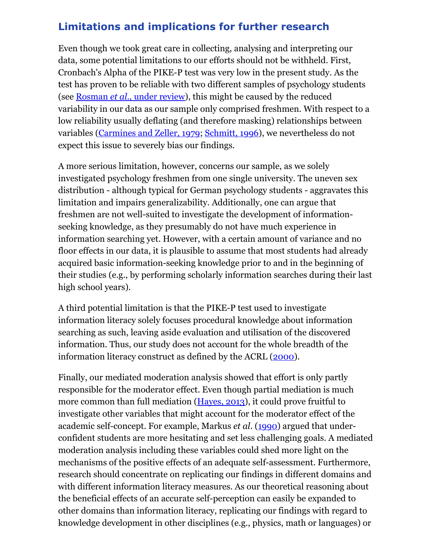# Limitations and implications for further research

Even though we took great care in collecting, analysing and interpreting our data, some potential limitations to our efforts should not be withheld. First, Cronbach's Alpha of the PIKEP test was very low in the present study. As the test has proven to be reliable with two different samples of psychology students (see [Rosman](http://www.informationr.net/ir/20-1/isic2/isic34.html#Ros) et al., under review), this might be caused by the reduced variability in our data as our sample only comprised freshmen. With respect to a low reliability usually deflating (and therefore masking) relationships between variables [\(Carmines](http://www.informationr.net/ir/20-1/isic2/isic34.html#Car79) and Zeller, 1979; [Schmitt,](http://www.informationr.net/ir/20-1/isic2/isic34.html#Sch96) 1996), we nevertheless do not expect this issue to severely bias our findings.

A more serious limitation, however, concerns our sample, as we solely investigated psychology freshmen from one single university. The uneven sex distribution - although typical for German psychology students - aggravates this limitation and impairs generalizability. Additionally, one can argue that freshmen are not well-suited to investigate the development of informationseeking knowledge, as they presumably do not have much experience in information searching yet. However, with a certain amount of variance and no floor effects in our data, it is plausible to assume that most students had already acquired basic information-seeking knowledge prior to and in the beginning of their studies (e.g., by performing scholarly information searches during their last high school years).

A third potential limitation is that the PIKE-P test used to investigate information literacy solely focuses procedural knowledge about information searching as such, leaving aside evaluation and utilisation of the discovered information. Thus, our study does not account for the whole breadth of the information literacy construct as defined by the ACRL ([2000\)](http://www.informationr.net/ir/20-1/isic2/isic34.html#Arc00).

Finally, our mediated moderation analysis showed that effort is only partly responsible for the moderator effect. Even though partial mediation is much more common than full mediation [\(Hayes,](http://www.informationr.net/ir/20-1/isic2/isic34.html#Hay13) 2013), it could prove fruitful to investigate other variables that might account for the moderator effect of the academic self-concept. For example, Markus *et al.* [\(1990\)](http://www.informationr.net/ir/20-1/isic2/isic34.html#Mar90) argued that underconfident students are more hesitating and set less challenging goals. A mediated moderation analysis including these variables could shed more light on the mechanisms of the positive effects of an adequate self-assessment. Furthermore, research should concentrate on replicating our findings in different domains and with different information literacy measures. As our theoretical reasoning about the beneficial effects of an accurate self-perception can easily be expanded to other domains than information literacy, replicating our findings with regard to knowledge development in other disciplines (e.g., physics, math or languages) or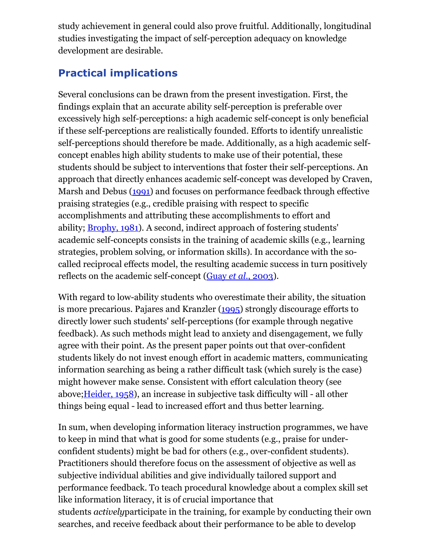study achievement in general could also prove fruitful. Additionally, longitudinal studies investigating the impact of self-perception adequacy on knowledge development are desirable.

# Practical implications

Several conclusions can be drawn from the present investigation. First, the findings explain that an accurate ability self-perception is preferable over excessively high self-perceptions: a high academic self-concept is only beneficial if these self-perceptions are realistically founded. Efforts to identify unrealistic self-perceptions should therefore be made. Additionally, as a high academic selfconcept enables high ability students to make use of their potential, these students should be subject to interventions that foster their self-perceptions. An approach that directly enhances academic self-concept was developed by Craven, Marsh and Debus [\(1991\)](http://www.informationr.net/ir/20-1/isic2/isic34.html#Cra91) and focuses on performance feedback through effective praising strategies (e.g., credible praising with respect to specific accomplishments and attributing these accomplishments to effort and ability; [Brophy,](http://www.informationr.net/ir/20-1/isic2/isic34.html#Bro81) 1981). A second, indirect approach of fostering students' academic self-concepts consists in the training of academic skills (e.g., learning strategies, problem solving, or information skills). In accordance with the socalled reciprocal effects model, the resulting academic success in turn positively reflects on the academic self-concept [\(Guay](http://www.informationr.net/ir/20-1/isic2/isic34.html#Gua03) et al., 2003).

With regard to low-ability students who overestimate their ability, the situation is more precarious. Pajares and Kranzler [\(1995\)](http://www.informationr.net/ir/20-1/isic2/isic34.html#Paj95) strongly discourage efforts to directly lower such students' self-perceptions (for example through negative feedback). As such methods might lead to anxiety and disengagement, we fully agree with their point. As the present paper points out that over-confident students likely do not invest enough effort in academic matters, communicating information searching as being a rather difficult task (which surely is the case) might however make sense. Consistent with effort calculation theory (see above; Heider, 1958), an increase in subjective task difficulty will - all other things being equal - lead to increased effort and thus better learning.

In sum, when developing information literacy instruction programmes, we have to keep in mind that what is good for some students (e.g., praise for underconfident students) might be bad for others (e.g., over-confident students). Practitioners should therefore focus on the assessment of objective as well as subjective individual abilities and give individually tailored support and performance feedback. To teach procedural knowledge about a complex skill set like information literacy, it is of crucial importance that students activelyparticipate in the training, for example by conducting their own searches, and receive feedback about their performance to be able to develop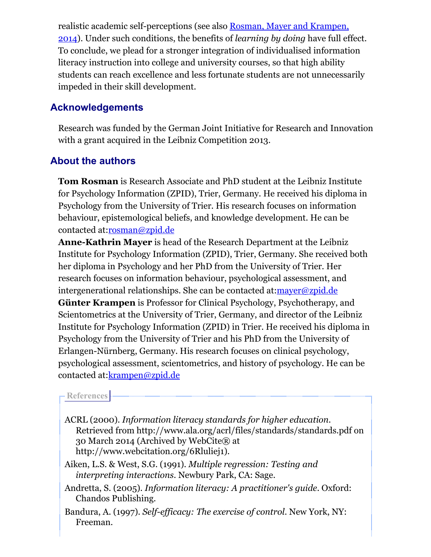realistic academic self-perceptions (see also Rosman, Mayer and Krampen, 2014). Under such conditions, the benefits of learning by doing have full effect. To conclude, we plead for a stronger integration of individualised information literacy instruction into college and university courses, so that high ability students can reach excellence and less fortunate students are not unnecessarily impeded in their skill development.

## Acknowledgements

Research was funded by the German Joint Initiative for Research and Innovation with a grant acquired in the Leibniz Competition 2013.

## About the authors

Tom Rosman is Research Associate and PhD student at the Leibniz Institute for Psychology Information (ZPID), Trier, Germany. He received his diploma in Psychology from the University of Trier. His research focuses on information behaviour, epistemological beliefs, and knowledge development. He can be contacted at[:rosman@zpid.de](mailto:rosman@zpid.de)

Anne-Kathrin Mayer is head of the Research Department at the Leibniz Institute for Psychology Information (ZPID), Trier, Germany. She received both her diploma in Psychology and her PhD from the University of Trier. Her research focuses on information behaviour, psychological assessment, and intergenerational relationships. She can be contacted at[:mayer@zpid.de](mailto:mayer@zpid.de) Günter Krampen is Professor for Clinical Psychology, Psychotherapy, and Scientometrics at the University of Trier, Germany, and director of the Leibniz Institute for Psychology Information (ZPID) in Trier. He received his diploma in Psychology from the University of Trier and his PhD from the University of Erlangen-Nürnberg, Germany. His research focuses on clinical psychology, psychological assessment, scientometrics, and history of psychology. He can be contacted at[:krampen@zpid.de](mailto:krampen@zpid.de)

#### References

ACRL (2000). Information literacy standards for higher education. Retrieved from http://www.ala.org/acrl/files/standards/standards.pdf on 30 March 2014 (Archived by WebCite® at http://www.webcitation.org/6Rluliej1).

Aiken, L.S. & West, S.G. (1991). Multiple regression: Testing and interpreting interactions. Newbury Park, CA: Sage.

- Andretta, S. (2005). Information literacy: A practitioner's guide. Oxford: Chandos Publishing.
- Bandura, A. (1997). Self-efficacy: The exercise of control. New York, NY: Freeman.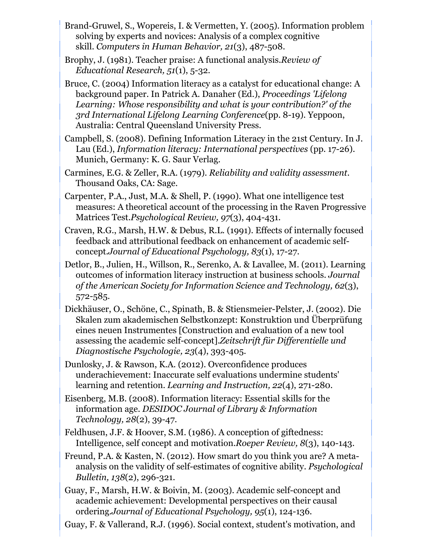- Brand-Gruwel, S., Wopereis, I. & Vermetten, Y. (2005). Information problem solving by experts and novices: Analysis of a complex cognitive skill. Computers in Human Behavior,  $21(3)$ ,  $487-508$ .
- Brophy, J. (1981). Teacher praise: A functional analysis.Review of Educational Research,  $51(1)$ ,  $5-32$ .

Bruce, C. (2004) Information literacy as a catalyst for educational change: A background paper. In Patrick A. Danaher (Ed.), Proceedings 'Lifelong Learning: Whose responsibility and what is your contribution?' of the 3rd International Lifelong Learning Conference(pp. 8-19). Yeppoon, Australia: Central Queensland University Press.

Campbell, S. (2008). Defining Information Literacy in the 21st Century. In J. Lau (Ed.), *Information literacy: International perspectives* (pp. 17-26). Munich, Germany: K. G. Saur Verlag.

Carmines, E.G. & Zeller, R.A. (1979). Reliability and validity assessment. Thousand Oaks, CA: Sage.

Carpenter, P.A., Just, M.A. & Shell, P. (1990). What one intelligence test measures: A theoretical account of the processing in the Raven Progressive Matrices Test. Psychological Review,  $97(3)$ , 404-431.

Craven, R.G., Marsh, H.W. & Debus, R.L. (1991). Effects of internally focused feedback and attributional feedback on enhancement of academic selfconcept.Journal of Educational Psychology, 83(1), 17-27.

- Detlor, B., Julien, H., Willson, R., Serenko, A. & Lavallee, M. (2011). Learning outcomes of information literacy instruction at business schools. Journal of the American Society for Information Science and Technology, 62(3), 572-585.
- Dickhäuser, O., Schöne, C., Spinath, B. & Stiensmeier-Pelster, J. (2002). Die Skalen zum akademischen Selbstkonzept: Konstruktion und Überprüfung eines neuen Instrumentes [Construction and evaluation of a new tool assessing the academic self-concept].Zeitschrift für Differentielle und Diagnostische Psychologie, 23(4), 393-405.

Dunlosky, J. & Rawson, K.A. (2012). Overconfidence produces underachievement: Inaccurate self evaluations undermine students' learning and retention. Learning and Instruction,  $22(4)$ ,  $271-280$ .

Eisenberg, M.B. (2008). Information literacy: Essential skills for the information age. DESIDOC Journal of Library & Information Technology, 28(2), 39-47.

Feldhusen, J.F. & Hoover, S.M. (1986). A conception of giftedness: Intelligence, self concept and motivation. Roeper Review, 8(3), 140-143.

Freund, P.A. & Kasten, N. (2012). How smart do you think you are? A metaanalysis on the validity of self-estimates of cognitive ability. Psychological Bulletin,  $138(2)$ , 296-321.

Guay, F., Marsh, H.W. & Boivin, M. (2003). Academic self-concept and academic achievement: Developmental perspectives on their causal ordering.Journal of Educational Psychology, 95(1), 124-136.

Guay, F. & Vallerand, R.J. (1996). Social context, student's motivation, and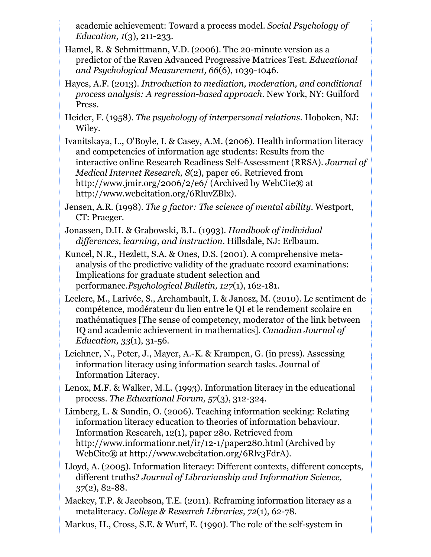academic achievement: Toward a process model. Social Psychology of Education,  $1(3)$ , 211-233.

- Hamel, R. & Schmittmann, V.D. (2006). The 20-minute version as a predictor of the Raven Advanced Progressive Matrices Test. Educational and Psychological Measurement,  $66(6)$ , 1039-1046.
- Hayes, A.F. (2013). Introduction to mediation, moderation, and conditional process analysis: A regression-based approach. New York, NY: Guilford Press.
- Heider, F. (1958). The psychology of interpersonal relations. Hoboken, NJ: Wiley.
- Ivanitskaya, L., O'Boyle, I. & Casey, A.M. (2006). Health information literacy and competencies of information age students: Results from the interactive online Research Readiness Self-Assessment (RRSA). Journal of Medical Internet Research, 8(2), paper e6. Retrieved from http://www.jmir.org/2006/2/e6/ (Archived by WebCite® at http://www.webcitation.org/6RluvZBlx).
- Jensen, A.R. (1998). The g factor: The science of mental ability. Westport, CT: Praeger.
- Jonassen, D.H. & Grabowski, B.L. (1993). Handbook of individual differences, learning, and instruction. Hillsdale, NJ: Erlbaum.
- Kuncel, N.R., Hezlett, S.A. & Ones, D.S. (2001). A comprehensive metaanalysis of the predictive validity of the graduate record examinations: Implications for graduate student selection and performance. Psychological Bulletin,  $127(1)$ ,  $162-181$ .
- Leclerc, M., Larivée, S., Archambault, I. & Janosz, M. (2010). Le sentiment de compétence, modérateur du lien entre le QI et le rendement scolaire en mathématiques [The sense of competency, moderator of the link between IQ and academic achievement in mathematics]. Canadian Journal of Education,  $33(1)$ ,  $31-56$ .
- Leichner, N., Peter, J., Mayer, A.-K. & Krampen, G. (in press). Assessing information literacy using information search tasks. Journal of Information Literacy.
- Lenox, M.F. & Walker, M.L. (1993). Information literacy in the educational process. The Educational Forum,  $57(3)$ ,  $312-324$ .
- Limberg, L. & Sundin, O. (2006). Teaching information seeking: Relating information literacy education to theories of information behaviour. Information Research, 12(1), paper 280. Retrieved from http://www.informationr.net/ir/12-1/paper280.html (Archived by WebCite® at http://www.webcitation.org/6Rlv3FdrA).
- Lloyd, A. (2005). Information literacy: Different contexts, different concepts, different truths? Journal of Librarianship and Information Science,  $37(2)$ , 82-88.
- Mackey, T.P. & Jacobson, T.E. (2011). Reframing information literacy as a metaliteracy. College & Research Libraries, 72(1), 62-78.
- Markus, H., Cross, S.E. & Wurf, E. (1990). The role of the self-system in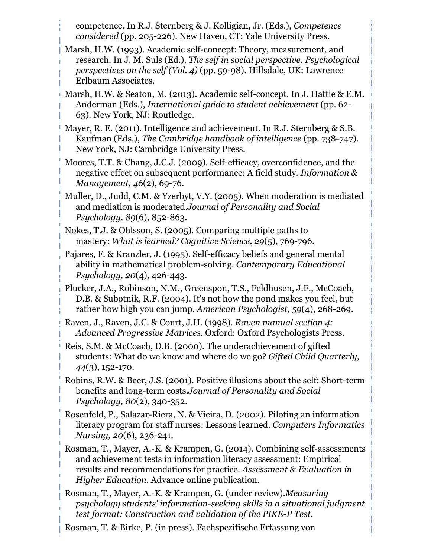competence. In R.J. Sternberg & J. Kolligian, Jr. (Eds.), Competence considered (pp. 205-226). New Haven, CT: Yale University Press.

- Marsh, H.W. (1993). Academic self-concept: Theory, measurement, and research. In J. M. Suls (Ed.), The self in social perspective. Psychological perspectives on the self (Vol. 4) (pp. 59-98). Hillsdale, UK: Lawrence Erlbaum Associates.
- Marsh, H.W. & Seaton, M. (2013). Academic self-concept. In J. Hattie & E.M. Anderman (Eds.), International guide to student achievement (pp. 62 63). New York, NJ: Routledge.
- Mayer, R. E. (2011). Intelligence and achievement. In R.J. Sternberg & S.B. Kaufman (Eds.), The Cambridge handbook of intelligence (pp. 738-747). New York, NJ: Cambridge University Press.

Moores, T.T. & Chang, J.C.J. (2009). Self-efficacy, overconfidence, and the negative effect on subsequent performance: A field study. Information & Management,  $46(2)$ , 69-76.

Muller, D., Judd, C.M. & Yzerbyt, V.Y. (2005). When moderation is mediated and mediation is moderated.Journal of Personality and Social Psychology, 89(6), 852-863.

- Nokes, T.J. & Ohlsson, S. (2005). Comparing multiple paths to mastery: What is learned? Cognitive Science, 29(5), 769-796.
- Pajares, F. & Kranzler, J. (1995). Self-efficacy beliefs and general mental ability in mathematical problem-solving. Contemporary Educational  $P<sub>5</sub>ychology, 20(4), 426-443.$

Plucker, J.A., Robinson, N.M., Greenspon, T.S., Feldhusen, J.F., McCoach, D.B. & Subotnik, R.F. (2004). It's not how the pond makes you feel, but rather how high you can jump. American Psychologist,  $59(4)$ , 268-269.

Raven, J., Raven, J.C. & Court, J.H. (1998). Raven manual section 4: Advanced Progressive Matrices. Oxford: Oxford Psychologists Press.

Reis, S.M. & McCoach, D.B. (2000). The underachievement of gifted students: What do we know and where do we go? Gifted Child Quarterly, 44(3), 152-170.

- Robins, R.W. & Beer, J.S. (2001). Positive illusions about the self: Short-term benefits and long-term costs.Journal of Personality and Social  $Psychology, 80(2), 340-352.$
- Rosenfeld, P., Salazar-Riera, N. & Vieira, D. (2002). Piloting an information literacy program for staff nurses: Lessons learned. Computers Informatics Nursing,  $20(6)$ ,  $236-241$ .
- Rosman, T., Mayer, A.-K. & Krampen, G. (2014). Combining self-assessments and achievement tests in information literacy assessment: Empirical results and recommendations for practice. Assessment & Evaluation in Higher Education. Advance online publication.
- Rosman, T., Mayer, A.-K. & Krampen, G. (under review). Measuring psychology students' information-seeking skills in a situational judgment test format: Construction and validation of the PIKE-P Test.

Rosman, T. & Birke, P. (in press). Fachspezifische Erfassung von